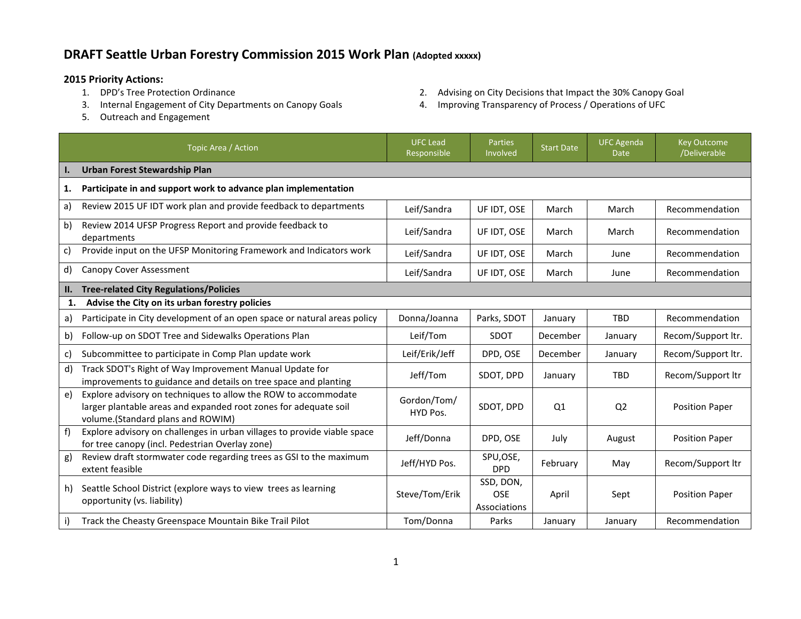## **DRAFT Seattle Urban Forestry Commission 2015 Work Plan (Adopted xxxxx)**

- **2015 Priority Actions:**
	-
	- 5. Outreach and Engagement
- 2. Advising on City Decisions that Impact the 30% Canopy Goal
- 3. Internal Engagement of City Departments on Canopy Goals 4. Improving Transparency of Process / Operations of UFC

|     | Topic Area / Action                                                                                                                                                     | <b>UFC Lead</b><br>Responsible | Parties<br>Involved                     | <b>Start Date</b> | <b>UFC Agenda</b><br><b>Date</b> | <b>Key Outcome</b><br>/Deliverable |  |
|-----|-------------------------------------------------------------------------------------------------------------------------------------------------------------------------|--------------------------------|-----------------------------------------|-------------------|----------------------------------|------------------------------------|--|
|     | Urban Forest Stewardship Plan                                                                                                                                           |                                |                                         |                   |                                  |                                    |  |
| 1.  | Participate in and support work to advance plan implementation                                                                                                          |                                |                                         |                   |                                  |                                    |  |
| a)  | Review 2015 UF IDT work plan and provide feedback to departments                                                                                                        | Leif/Sandra                    | UF IDT, OSE                             | March             | March                            | Recommendation                     |  |
| b)  | Review 2014 UFSP Progress Report and provide feedback to<br>departments                                                                                                 | Leif/Sandra                    | UF IDT, OSE                             | March             | March                            | Recommendation                     |  |
| c)  | Provide input on the UFSP Monitoring Framework and Indicators work                                                                                                      | Leif/Sandra                    | UF IDT, OSE                             | March             | June                             | Recommendation                     |  |
| d)  | Canopy Cover Assessment                                                                                                                                                 | Leif/Sandra                    | UF IDT, OSE                             | March             | June                             | Recommendation                     |  |
| II. | <b>Tree-related City Regulations/Policies</b>                                                                                                                           |                                |                                         |                   |                                  |                                    |  |
| 1.  | Advise the City on its urban forestry policies                                                                                                                          |                                |                                         |                   |                                  |                                    |  |
| a)  | Participate in City development of an open space or natural areas policy                                                                                                | Donna/Joanna                   | Parks, SDOT                             | January           | <b>TBD</b>                       | Recommendation                     |  |
| b)  | Follow-up on SDOT Tree and Sidewalks Operations Plan                                                                                                                    | Leif/Tom                       | <b>SDOT</b>                             | December          | January                          | Recom/Support ltr.                 |  |
| c)  | Subcommittee to participate in Comp Plan update work                                                                                                                    | Leif/Erik/Jeff                 | DPD, OSE                                | December          | January                          | Recom/Support ltr.                 |  |
| d)  | Track SDOT's Right of Way Improvement Manual Update for<br>improvements to guidance and details on tree space and planting                                              | Jeff/Tom                       | SDOT, DPD                               | January           | <b>TBD</b>                       | Recom/Support ltr                  |  |
| e)  | Explore advisory on techniques to allow the ROW to accommodate<br>larger plantable areas and expanded root zones for adequate soil<br>volume.(Standard plans and ROWIM) | Gordon/Tom/<br>HYD Pos.        | SDOT. DPD                               | Q <sub>1</sub>    | Q <sub>2</sub>                   | <b>Position Paper</b>              |  |
| f)  | Explore advisory on challenges in urban villages to provide viable space<br>for tree canopy (incl. Pedestrian Overlay zone)                                             | Jeff/Donna                     | DPD, OSE                                | July              | August                           | <b>Position Paper</b>              |  |
| g)  | Review draft stormwater code regarding trees as GSI to the maximum<br>extent feasible                                                                                   | Jeff/HYD Pos.                  | SPU,OSE,<br><b>DPD</b>                  | February          | May                              | Recom/Support Itr                  |  |
| h)  | Seattle School District (explore ways to view trees as learning<br>opportunity (vs. liability)                                                                          | Steve/Tom/Erik                 | SSD, DON,<br><b>OSE</b><br>Associations | April             | Sept                             | <b>Position Paper</b>              |  |
|     | Track the Cheasty Greenspace Mountain Bike Trail Pilot                                                                                                                  | Tom/Donna                      | Parks                                   | January           | January                          | Recommendation                     |  |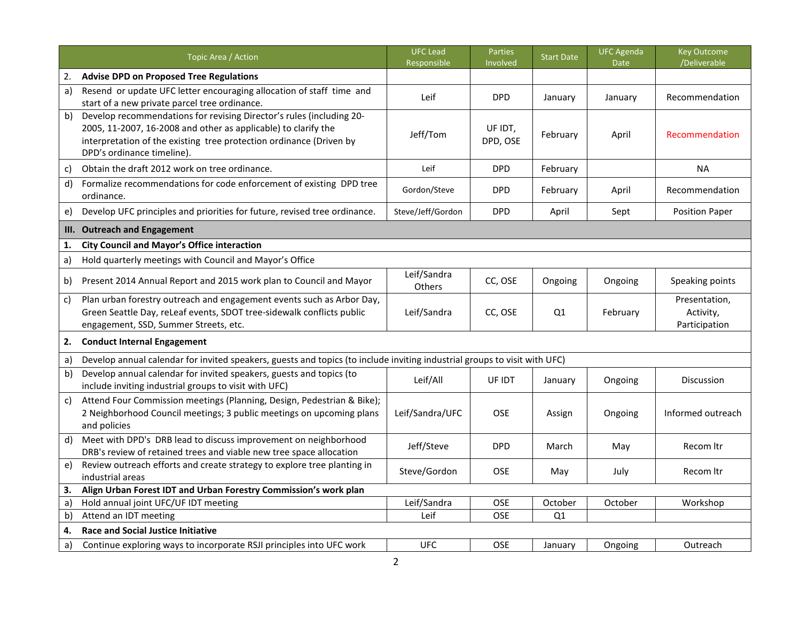|              | Topic Area / Action                                                                                                                                                                                                                         | <b>UFC Lead</b><br>Responsible | Parties<br>Involved | <b>Start Date</b> | <b>UFC Agenda</b><br><b>Date</b> | <b>Key Outcome</b><br>/Deliverable          |  |
|--------------|---------------------------------------------------------------------------------------------------------------------------------------------------------------------------------------------------------------------------------------------|--------------------------------|---------------------|-------------------|----------------------------------|---------------------------------------------|--|
| 2.           | <b>Advise DPD on Proposed Tree Regulations</b>                                                                                                                                                                                              |                                |                     |                   |                                  |                                             |  |
| a)           | Resend or update UFC letter encouraging allocation of staff time and<br>start of a new private parcel tree ordinance.                                                                                                                       | Leif                           | <b>DPD</b>          | January           | January                          | Recommendation                              |  |
| b)           | Develop recommendations for revising Director's rules (including 20-<br>2005, 11-2007, 16-2008 and other as applicable) to clarify the<br>interpretation of the existing tree protection ordinance (Driven by<br>DPD's ordinance timeline). | Jeff/Tom                       | UF IDT,<br>DPD, OSE | February          | April                            | Recommendation                              |  |
| c)           | Obtain the draft 2012 work on tree ordinance.                                                                                                                                                                                               | Leif                           | <b>DPD</b>          | February          |                                  | <b>NA</b>                                   |  |
| d)           | Formalize recommendations for code enforcement of existing DPD tree<br>ordinance.                                                                                                                                                           | Gordon/Steve                   | <b>DPD</b>          | February          | April                            | Recommendation                              |  |
| e)           | Develop UFC principles and priorities for future, revised tree ordinance.                                                                                                                                                                   | Steve/Jeff/Gordon              | <b>DPD</b>          | April             | Sept                             | <b>Position Paper</b>                       |  |
| Ш.           | <b>Outreach and Engagement</b>                                                                                                                                                                                                              |                                |                     |                   |                                  |                                             |  |
| 1.           | <b>City Council and Mayor's Office interaction</b>                                                                                                                                                                                          |                                |                     |                   |                                  |                                             |  |
| a)           | Hold quarterly meetings with Council and Mayor's Office                                                                                                                                                                                     |                                |                     |                   |                                  |                                             |  |
| b)           | Present 2014 Annual Report and 2015 work plan to Council and Mayor                                                                                                                                                                          | Leif/Sandra<br>Others          | CC, OSE             | Ongoing           | Ongoing                          | Speaking points                             |  |
| $\mathsf{C}$ | Plan urban forestry outreach and engagement events such as Arbor Day,<br>Green Seattle Day, reLeaf events, SDOT tree-sidewalk conflicts public<br>engagement, SSD, Summer Streets, etc.                                                     | Leif/Sandra                    | CC, OSE             | Q1                | February                         | Presentation,<br>Activity,<br>Participation |  |
| 2.           | <b>Conduct Internal Engagement</b>                                                                                                                                                                                                          |                                |                     |                   |                                  |                                             |  |
| a)           | Develop annual calendar for invited speakers, guests and topics (to include inviting industrial groups to visit with UFC)                                                                                                                   |                                |                     |                   |                                  |                                             |  |
| b)           | Develop annual calendar for invited speakers, guests and topics (to<br>include inviting industrial groups to visit with UFC)                                                                                                                | Leif/All                       | UF IDT              | January           | Ongoing                          | Discussion                                  |  |
| c)           | Attend Four Commission meetings (Planning, Design, Pedestrian & Bike);<br>2 Neighborhood Council meetings; 3 public meetings on upcoming plans<br>and policies                                                                              | Leif/Sandra/UFC                | <b>OSE</b>          | Assign            | Ongoing                          | Informed outreach                           |  |
| d)           | Meet with DPD's DRB lead to discuss improvement on neighborhood<br>DRB's review of retained trees and viable new tree space allocation                                                                                                      | Jeff/Steve                     | <b>DPD</b>          | March             | May                              | Recom Itr                                   |  |
| e)           | Review outreach efforts and create strategy to explore tree planting in<br>industrial areas                                                                                                                                                 | Steve/Gordon                   | <b>OSE</b>          | May               | July                             | Recom Itr                                   |  |
| 3.           | Align Urban Forest IDT and Urban Forestry Commission's work plan                                                                                                                                                                            |                                |                     |                   |                                  |                                             |  |
| a)           | Hold annual joint UFC/UF IDT meeting                                                                                                                                                                                                        | Leif/Sandra                    | <b>OSE</b>          | October           | October                          | Workshop                                    |  |
| b)           | Attend an IDT meeting                                                                                                                                                                                                                       | Leif                           | OSE                 | Q1                |                                  |                                             |  |
| 4.           | <b>Race and Social Justice Initiative</b>                                                                                                                                                                                                   |                                |                     |                   |                                  |                                             |  |
| a)           | Continue exploring ways to incorporate RSJI principles into UFC work                                                                                                                                                                        | <b>UFC</b>                     | OSE                 | January           | Ongoing                          | Outreach                                    |  |